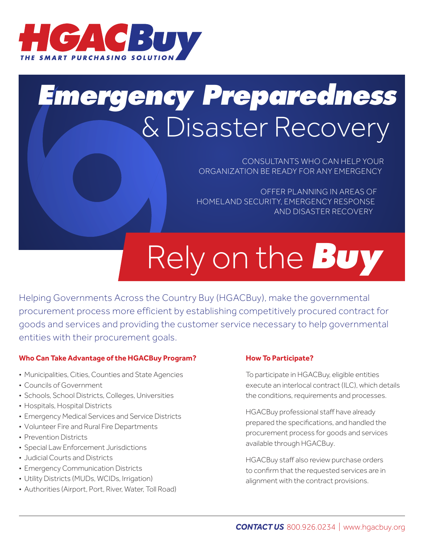

## *Emergency Preparedness* & Disaster Recovery

CONSULTANTS WHO CAN HELP YOUR ORGANIZATION BE READY FOR ANY EMERGENCY

OFFER PLANNING IN AREAS OF HOMELAND SECURITY, EMERGENCY RESPONSE AND DISASTER RECOVERY

# Rely on the *Buy*

Helping Governments Across the Country Buy (HGACBuy), make the governmental procurement process more efficient by establishing competitively procured contract for goods and services and providing the customer service necessary to help governmental entities with their procurement goals.

#### **Who Can Take Advantage of the HGACBuy Program?**

- Municipalities, Cities, Counties and State Agencies
- Councils of Government
- Schools, School Districts, Colleges, Universities
- Hospitals, Hospital Districts
- Emergency Medical Services and Service Districts
- Volunteer Fire and Rural Fire Departments
- Prevention Districts
- Special Law Enforcement Jurisdictions
- Judicial Courts and Districts
- Emergency Communication Districts
- Utility Districts (MUDs, WCIDs, Irrigation)
- Authorities (Airport, Port, River, Water, Toll Road)

#### **How To Participate?**

To participate in HGACBuy, eligible entities execute an interlocal contract (ILC), which details the conditions, requirements and processes.

HGACBuy professional staff have already prepared the specifications, and handled the procurement process for goods and services available through HGACBuy.

HGACBuy staff also review purchase orders to confirm that the requested services are in alignment with the contract provisions.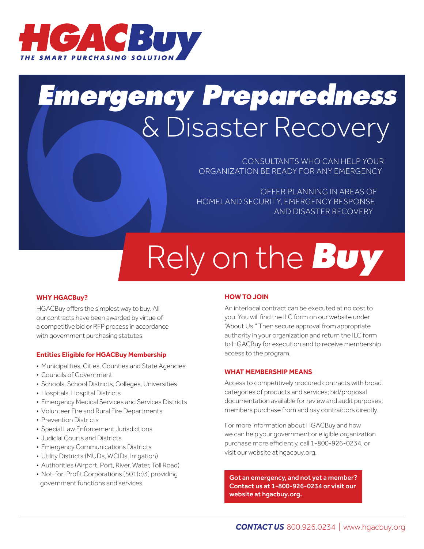

## *Emergency Preparedness* & Disaster Recovery

CONSULTANTS WHO CAN HELP YOUR ORGANIZATION BE READY FOR ANY EMERGENCY

OFFER PLANNING IN AREAS OF HOMELAND SECURITY, EMERGENCY RESPONSE AND DISASTER RECOVERY

# Rely on the *Buy*

#### **WHY HGACBuy?**

HGACBuy offers the simplest way to buy. All our contracts have been awarded by virtue of a competitive bid or RFP process in accordance with government purchasing statutes.

#### **Entities Eligible for HGACBuy Membership**

- Municipalities, Cities, Counties and State Agencies
- Councils of Government
- Schools, School Districts, Colleges, Universities
- Hospitals, Hospital Districts
- Emergency Medical Services and Services Districts
- Volunteer Fire and Rural Fire Departments
- Prevention Districts
- Special Law Enforcement Jurisdictions
- Judicial Courts and Districts
- Emergency Communications Districts
- Utility Districts (MUDs, WCIDs, Irrigation)
- Authorities (Airport, Port, River, Water, Toll Road)
- Not-for-Profit Corporations [501(c)3] providing government functions and services

#### **HOW TO JOIN**

An interlocal contract can be executed at no cost to you. You will find the ILC form on our website under "About Us." Then secure approval from appropriate authority in your organization and return the ILC form to HGACBuy for execution and to receive membership access to the program.

#### **WHAT MEMBERSHIP MEANS**

Access to competitively procured contracts with broad categories of products and services; bid/proposal documentation available for review and audit purposes; members purchase from and pay contractors directly.

For more information about HGACBuy and how we can help your government or eligible organization purchase more efficiently, call 1-800-926-0234, or visit our website at hgacbuy.org.

Got an emergency, and not yet a member? Contact us at 1-800-926-0234 or visit our website at hgacbuy.org.